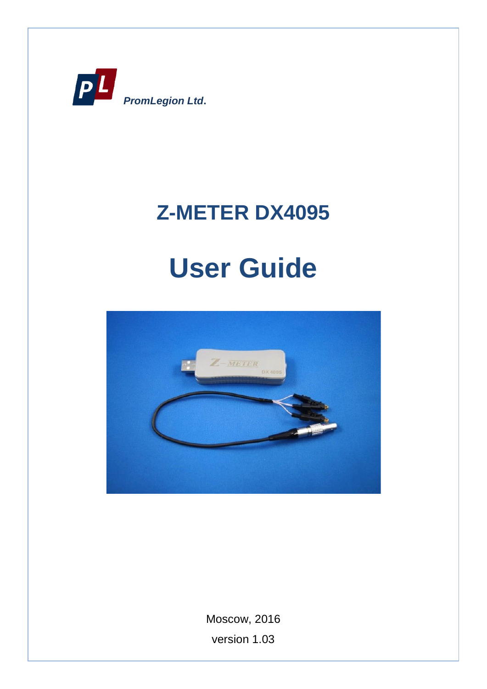

## **Z-METER DX4095**

# **User Guide**



Moscow, 2016 version 1.03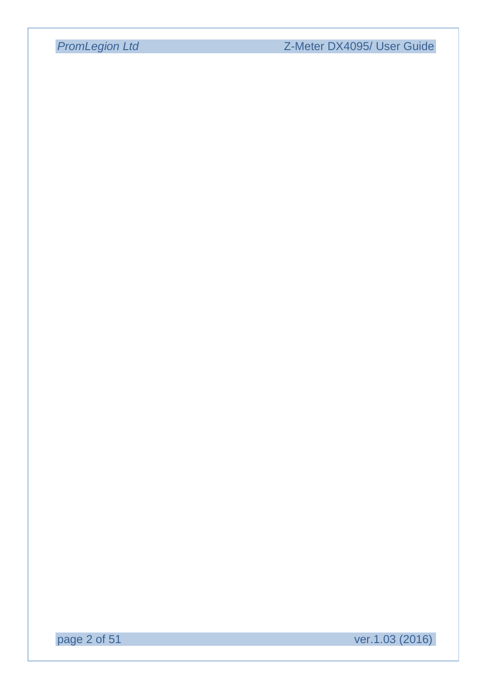page 2 of 51 ver.1.03 (2016)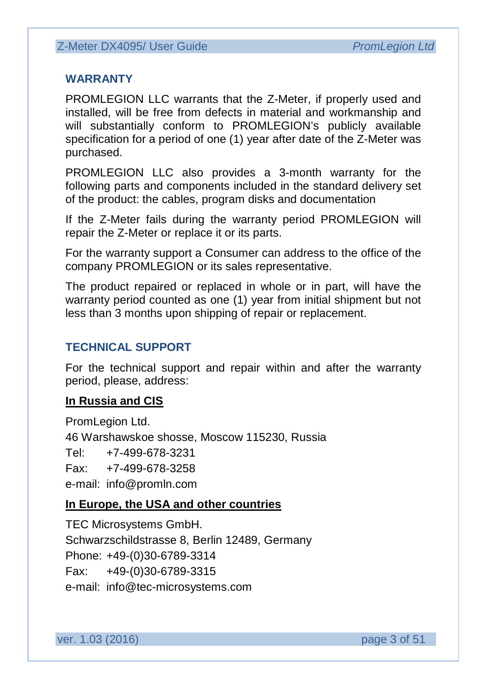#### **WARRANTY**

PROMLEGION LLC warrants that the Z-Meter, if properly used and installed, will be free from defects in material and workmanship and will substantially conform to PROMLEGION's publicly available specification for a period of one (1) year after date of the Z-Meter was purchased.

PROMLEGION LLC also provides a 3-month warranty for the following parts and components included in the standard delivery set of the product: the cables, program disks and documentation

If the Z-Meter fails during the warranty period PROMLEGION will repair the Z-Meter or replace it or its parts.

For the warranty support a Consumer can address to the office of the company PROMLEGION or its sales representative.

The product repaired or replaced in whole or in part, will have the warranty period counted as one (1) year from initial shipment but not less than 3 months upon shipping of repair or replacement.

#### **TECHNICAL SUPPORT**

For the technical support and repair within and after the warranty period, please, address:

#### **In Russia and CIS**

PromLegion Ltd. 46 Warshawskoe shosse, Moscow 115230, Russia Tel: +7-499-678-3231 Fax: +7-499-678-3258 e-mail: info@promln.com

#### **In Europe, the USA and other countries**

TEC Microsystems GmbH. Schwarzschildstrasse 8, Berlin 12489, Germany Phone: +49-(0)30-6789-3314 Fax: +49-(0)30-6789-3315 e-mail: info@tec-microsystems.com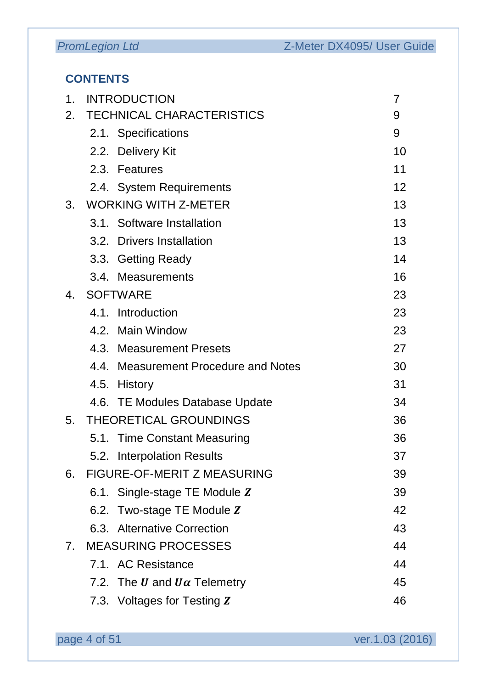### **CONTENTS**

| 1. | <b>INTRODUCTION</b>                  | 7  |
|----|--------------------------------------|----|
| 2. | TECHNICAL CHARACTERISTICS            | 9  |
|    | 2.1. Specifications                  | 9  |
|    | 2.2. Delivery Kit                    | 10 |
|    | 2.3. Features                        | 11 |
|    | 2.4. System Requirements             | 12 |
| 3. | <b>WORKING WITH Z-METER</b>          | 13 |
|    | 3.1. Software Installation           | 13 |
|    | 3.2. Drivers Installation            | 13 |
|    | 3.3. Getting Ready                   | 14 |
|    | 3.4. Measurements                    | 16 |
| 4. | <b>SOFTWARE</b>                      | 23 |
|    | 4.1. Introduction                    | 23 |
|    | 4.2. Main Window                     | 23 |
|    | 4.3. Measurement Presets             | 27 |
|    | 4.4. Measurement Procedure and Notes | 30 |
|    | 4.5. History                         | 31 |
|    | 4.6. TE Modules Database Update      | 34 |
| 5. | THEORETICAL GROUNDINGS               | 36 |
|    | 5.1. Time Constant Measuring         | 36 |
|    | 5.2. Interpolation Results           | 37 |
| 6. | FIGURE-OF-MERIT Z MEASURING          | 39 |
|    | 6.1. Single-stage TE Module Z        | 39 |
|    | 6.2. Two-stage TE Module Z           | 42 |
|    | 6.3. Alternative Correction          | 43 |
| 7. | <b>MEASURING PROCESSES</b>           | 44 |
|    | 7.1. AC Resistance                   | 44 |
|    | 7.2. The $U$ and $U\alpha$ Telemetry | 45 |
|    | 7.3. Voltages for Testing Z          | 46 |

page 4 of 51 ver.1.03 (2016)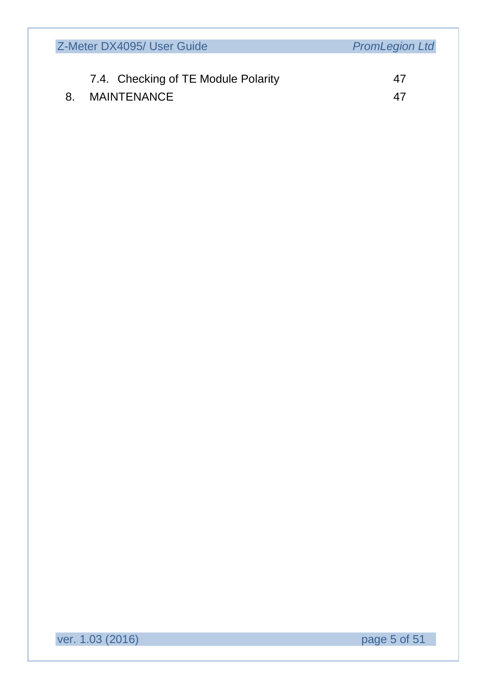| Z-Meter DX4095/ User Guide          | <b>PromLegion Ltd</b> |
|-------------------------------------|-----------------------|
|                                     |                       |
| 7.4. Checking of TE Module Polarity | 47                    |
| MAINTENANCE<br>8.                   | 47                    |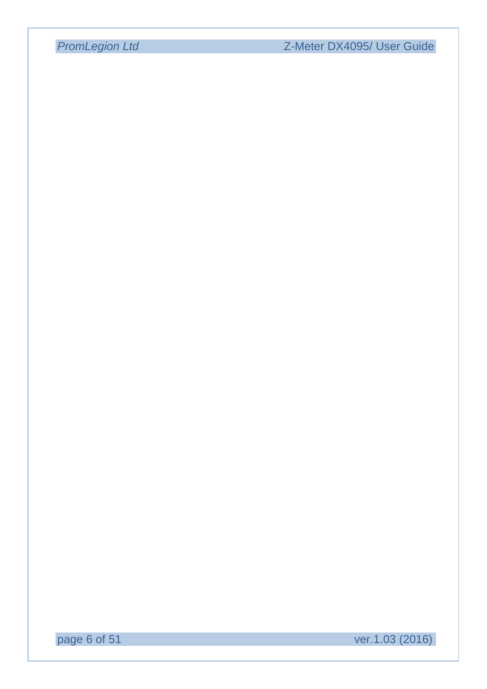page 6 of 51 ver.1.03 (2016)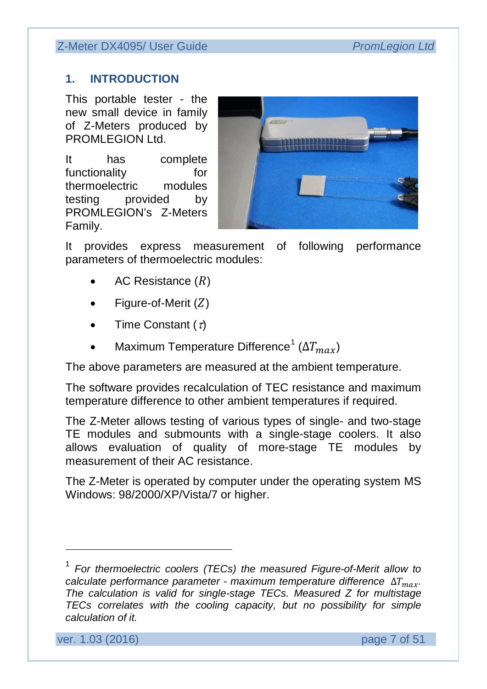#### <span id="page-6-0"></span>**1. INTRODUCTION**

This portable tester - the new small device in family of Z-Meters produced by PROMLEGION Ltd.

It has complete functionality for thermoelectric modules testing provided by PROMLEGION's Z-Meters Family.

<span id="page-6-1"></span>

It provides express measurement of following performance parameters of thermoelectric modules:

- AC Resistance  $(R)$
- Figure-of-Merit  $(Z)$
- Time Constant  $(\tau)$
- Maximum Temperature Difference<sup>[1](#page-6-1)</sup> ( $\Delta T_{max}$ )

The above parameters are measured at the ambient temperature.

The software provides recalculation of TEC resistance and maximum temperature difference to other ambient temperatures if required.

The Z-Meter allows testing of various types of single- and two-stage TE modules and submounts with a single-stage coolers. It also allows evaluation of quality of more-stage TE modules by measurement of their AC resistance.

The Z-Meter is operated by computer under the operating system MS Windows: 98/2000/XP/Vista/7 or higher.

ver. 1.03 (2016) page 7 of 51

j

<sup>1</sup> *For thermoelectric coolers (TECs) the measured Figure-of-Merit allow to calculate performance parameter - maximum temperature difference* ∆*. The calculation is valid for single-stage TECs. Measured Z for multistage TECs correlates with the cooling capacity, but no possibility for simple calculation of it.*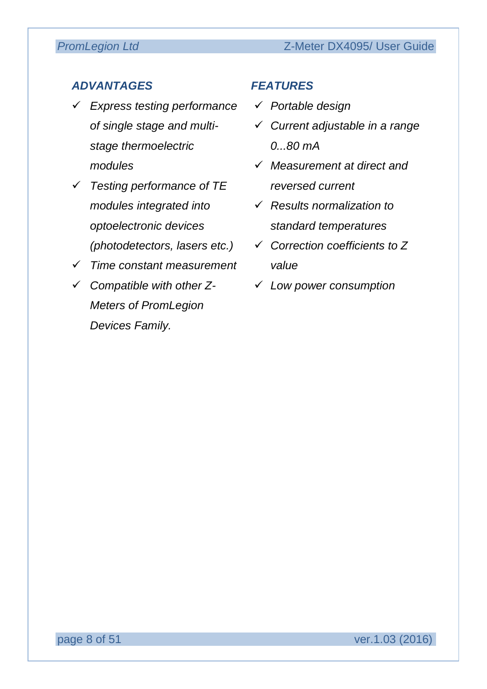#### *ADVANTAGES*

- *Express testing performance of single stage and multistage thermoelectric modules*
- *Testing performance of TE modules integrated into optoelectronic devices (photodetectors, lasers etc.)*
- *Time constant measurement*
- *Compatible with other Z-Meters of PromLegion Devices Family.*

#### *FEATURES*

- *Portable design*
- *Current adjustable in a range 0...80 mA*
- *Measurement at direct and reversed current*
- *Results normalization to standard temperatures*
- *Correction coefficients to Z value*
- *Low power consumption*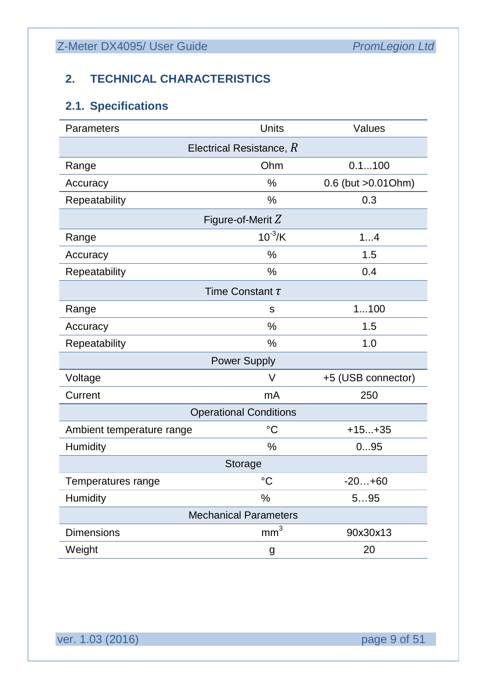### <span id="page-8-0"></span>**2. TECHNICAL CHARACTERISTICS**

### <span id="page-8-1"></span>**2.1. Specifications**

| Parameters                    | Units             | Values               |  |  |  |
|-------------------------------|-------------------|----------------------|--|--|--|
| Electrical Resistance, $R$    |                   |                      |  |  |  |
| Range                         | Ohm               | 0.1100               |  |  |  |
| Accuracy                      | $\%$              | 0.6 (but > 0.01 Ohm) |  |  |  |
| Repeatability                 | $\%$              | 0.3                  |  |  |  |
|                               | Figure-of-Merit Z |                      |  |  |  |
| Range                         | $10^{-3}$ /K      | 14                   |  |  |  |
| Accuracy                      | $\%$              | 1.5                  |  |  |  |
| Repeatability                 | $\%$              | 0.4                  |  |  |  |
| Time Constant $\tau$          |                   |                      |  |  |  |
| Range                         | s                 | 1100                 |  |  |  |
| Accuracy                      | $\%$              | 1.5                  |  |  |  |
| Repeatability                 | $\%$              | 1.0                  |  |  |  |
| Power Supply                  |                   |                      |  |  |  |
| Voltage                       | V                 | +5 (USB connector)   |  |  |  |
| Current                       | mA                | 250                  |  |  |  |
| <b>Operational Conditions</b> |                   |                      |  |  |  |
| Ambient temperature range     | °C                | $+15+35$             |  |  |  |
| Humidity                      | $\frac{0}{0}$     | 095                  |  |  |  |
| Storage                       |                   |                      |  |  |  |
| Temperatures range            | °C                | $-20+60$             |  |  |  |
| Humidity                      | $\%$              | 595                  |  |  |  |
| <b>Mechanical Parameters</b>  |                   |                      |  |  |  |
| Dimensions                    | mm <sup>3</sup>   | 90x30x13             |  |  |  |
| Weight                        | g                 | 20                   |  |  |  |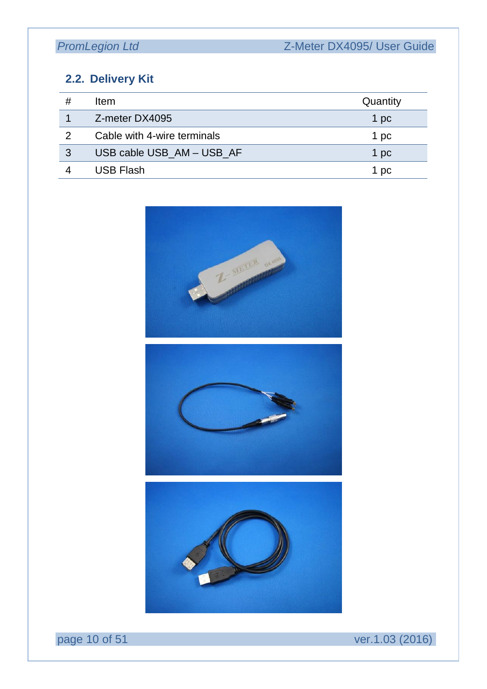### <span id="page-9-0"></span>**2.2. Delivery Kit**

| # | Item                        | Quantity |
|---|-----------------------------|----------|
|   | Z-meter DX4095              | 1 pc     |
| 2 | Cable with 4-wire terminals | 1 pc     |
| 3 | USB cable USB AM - USB AF   | 1 pc     |
|   | USB Flash                   | 1 pc     |





page 10 of 51 ver.1.03 (2016)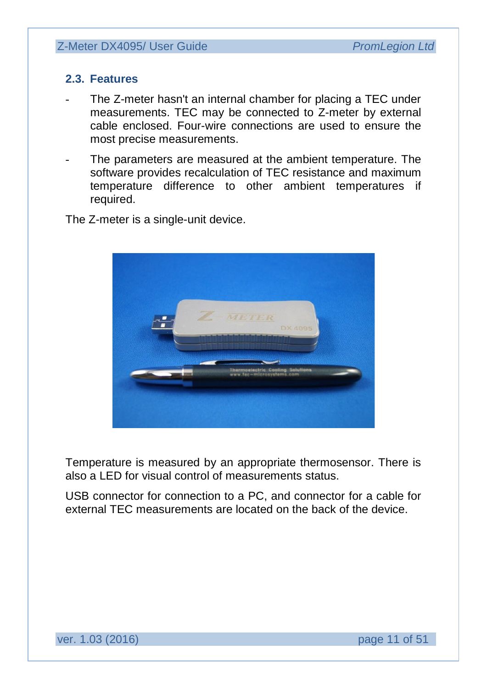#### <span id="page-10-0"></span>**2.3. Features**

- The Z-meter hasn't an internal chamber for placing a TEC under measurements. TEC may be connected to Z-meter by external cable enclosed. Four-wire connections are used to ensure the most precise measurements.
- The parameters are measured at the ambient temperature. The software provides recalculation of TEC resistance and maximum temperature difference to other ambient temperatures if required.

The Z-meter is a single-unit device.



Temperature is measured by an appropriate thermosensor. There is also a LED for visual control of measurements status.

USB connector for connection to a PC, and connector for a cable for external TEC measurements are located on the back of the device.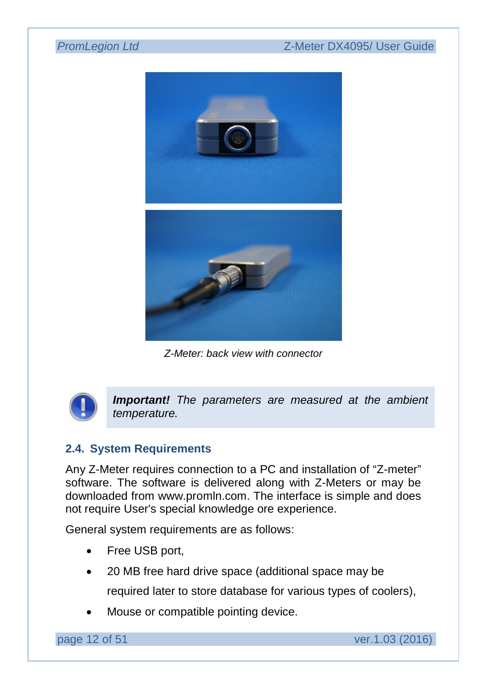

*Z-Meter: back view with connector*



*Important! The parameters are measured at the ambient temperature.*

#### <span id="page-11-0"></span>**2.4. System Requirements**

Any Z-Meter requires connection to a PC and installation of "Z-meter" software. The software is delivered along with Z-Meters or may be downloaded from www.promln.com. The interface is simple and does not require User's special knowledge ore experience.

General system requirements are as follows:

- Free USB port,
- 20 MB free hard drive space (additional space may be required later to store database for various types of coolers),
- Mouse or compatible pointing device.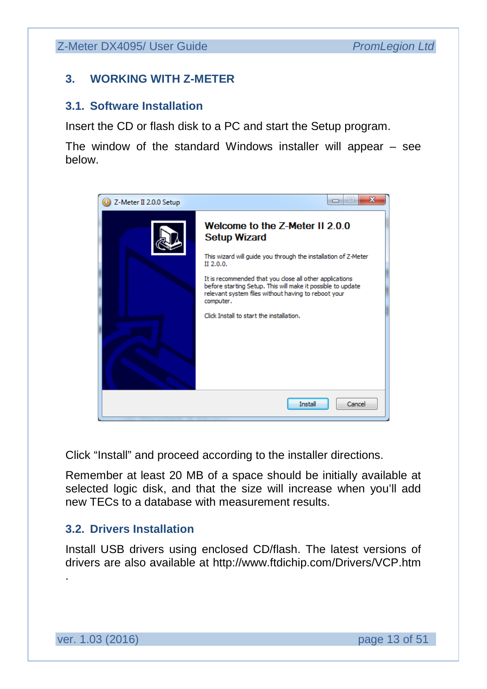#### <span id="page-12-0"></span>**3. WORKING WITH Z-METER**

#### <span id="page-12-1"></span>**3.1. Software Installation**

Insert the CD or flash disk to a PC and start the Setup program.

The window of the standard Windows installer will appear – see below.



Click "Install" and proceed according to the installer directions.

Remember at least 20 MB of a space should be initially available at selected logic disk, and that the size will increase when you'll add new TECs to a database with measurement results.

#### <span id="page-12-2"></span>**3.2. Drivers Installation**

Install USB drivers using enclosed CD/flash. The latest versions of drivers are also available at http://www.ftdichip.com/Drivers/VCP.htm

.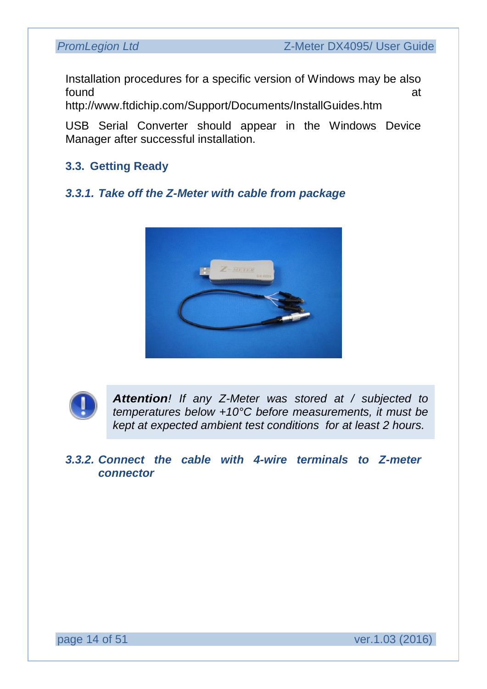Installation procedures for a specific version of Windows may be also found at a set of the set of the set of the set of the set of the set of the set of the set of the set of the s

http://www.ftdichip.com/Support/Documents/InstallGuides.htm

USB Serial Converter should appear in the Windows Device Manager after successful installation.

<span id="page-13-0"></span>**3.3. Getting Ready**

#### *3.3.1. Take off the Z-Meter with cable from package*





*Attention! If any Z-Meter was stored at / subjected to temperatures below +10°C before measurements, it must be kept at expected ambient test conditions for at least 2 hours.*

*3.3.2. Connect the cable with 4-wire terminals to Z-meter connector*

page 14 of 51 ver.1.03 (2016)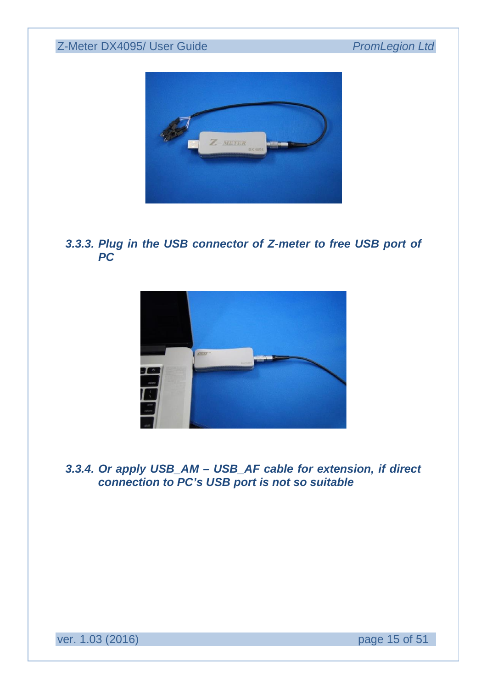

*3.3.3. Plug in the USB connector of Z-meter to free USB port of PC*



*3.3.4. Or apply USB\_AM – USB\_AF cable for extension, if direct connection to PC's USB port is not so suitable*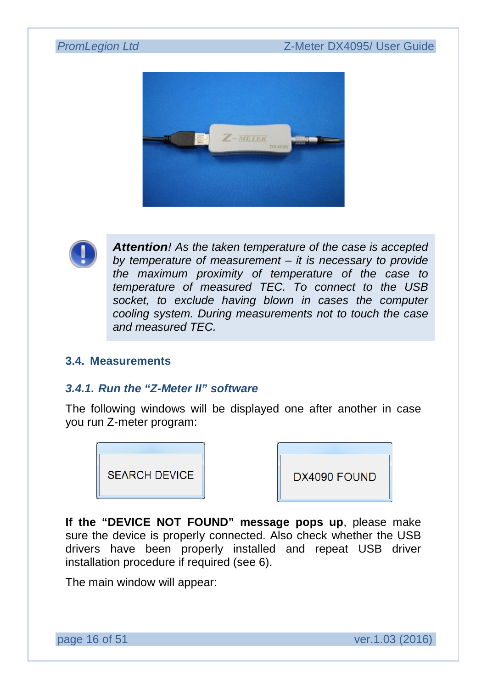



*Attention! As the taken temperature of the case is accepted by temperature of measurement – it is necessary to provide the maximum proximity of temperature of the case to temperature of measured TEC. To connect to the USB*  socket, to exclude having blown in cases the computer *cooling system. During measurements not to touch the case and measured TEC.*

#### <span id="page-15-0"></span>**3.4. Measurements**

#### *3.4.1. Run the "Z-Meter II" software*

The following windows will be displayed one after another in case you run Z-meter program:



**If the "DEVICE NOT FOUND" message pops up**, please make sure the device is properly connected. Also check whether the USB drivers have been properly installed and repeat USB driver installation procedure if required (see 6).

The main window will appear:

page 16 of 51 ver.1.03 (2016)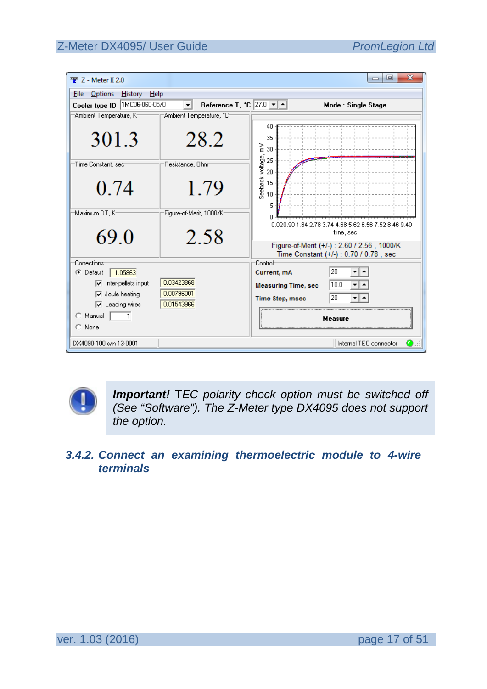



*Important!* T*EC polarity check option must be switched off (See "Software"). The Z-Meter type DX4095 does not support the option.*

#### *3.4.2. Connect an examining thermoelectric module to 4-wire terminals*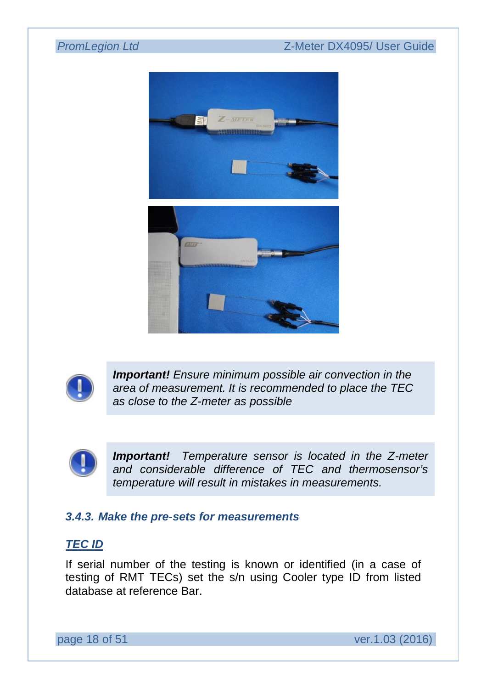



*Important! Ensure minimum possible air convection in the area of measurement. It is recommended to place the TEC as close to the Z-meter as possible*



*Important! Temperature sensor is located in the Z-meter and considerable difference of TEC and thermosensor's temperature will result in mistakes in measurements.*

#### *3.4.3. Make the pre-sets for measurements*

#### *TEC ID*

If serial number of the testing is known or identified (in a case of testing of RMT TECs) set the s/n using Cooler type ID from listed database at reference Bar.

page 18 of 51 ver.1.03 (2016)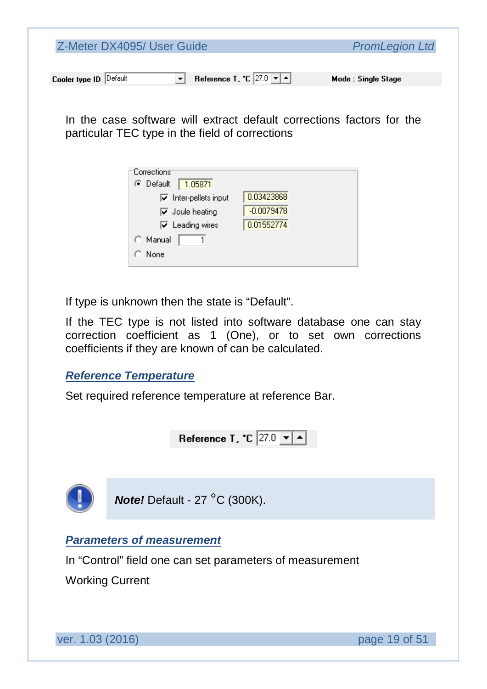| Z-Meter DX4095/ User Guide                                                         | <b>PromLegion Ltd</b> |
|------------------------------------------------------------------------------------|-----------------------|
|                                                                                    |                       |
|                                                                                    |                       |
| Reference T, $\mathbf{C}$ 27.0 $\mathbf{v}$ $\mathbf{A}$<br>Cooler type ID Default | Mode : Single Stage   |
|                                                                                    |                       |
|                                                                                    |                       |
|                                                                                    |                       |
| In the case software will extract default corrections factors for the              |                       |
| particular TEC type in the field of corrections                                    |                       |
|                                                                                    |                       |

| Corrections:<br>C Default<br>1.05871 |              |
|--------------------------------------|--------------|
| $\nabla$ Inter-pellets input         | 0.03423868   |
| $\overline{\nabla}$ Joule heating    | $-0.0079478$ |
| $\overline{\vee}$ Leading wires      | 0.01552774   |
| Manual                               |              |
| None                                 |              |

If type is unknown then the state is "Default".

If the TEC type is not listed into software database one can stay correction coefficient as 1 (One), or to set own corrections coefficients if they are known of can be calculated.

#### *Reference Temperature*

Set required reference temperature at reference Bar.



In "Control" field one can set parameters of measurement

Working Current

ver. 1.03 (2016) **page 19 of 51**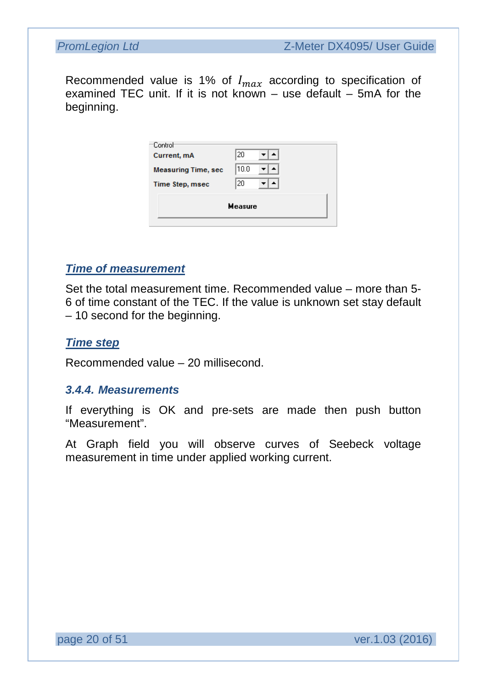Recommended value is 1% of  $I_{max}$  according to specification of examined TEC unit. If it is not known – use default – 5mA for the beginning.

| <b>Measure</b>             |      |  |  |
|----------------------------|------|--|--|
| Time Step, msec            | 20   |  |  |
| <b>Measuring Time, sec</b> | 10.0 |  |  |
| Control<br>Current, mA     | 20   |  |  |

#### *Time of measurement*

Set the total measurement time. Recommended value – more than 5- 6 of time constant of the TEC. If the value is unknown set stay default – 10 second for the beginning.

#### *Time step*

Recommended value – 20 millisecond.

#### *3.4.4. Measurements*

If everything is OK and pre-sets are made then push button "Measurement".

At Graph field you will observe curves of Seebeck voltage measurement in time under applied working current.

page 20 of 51 ver.1.03 (2016)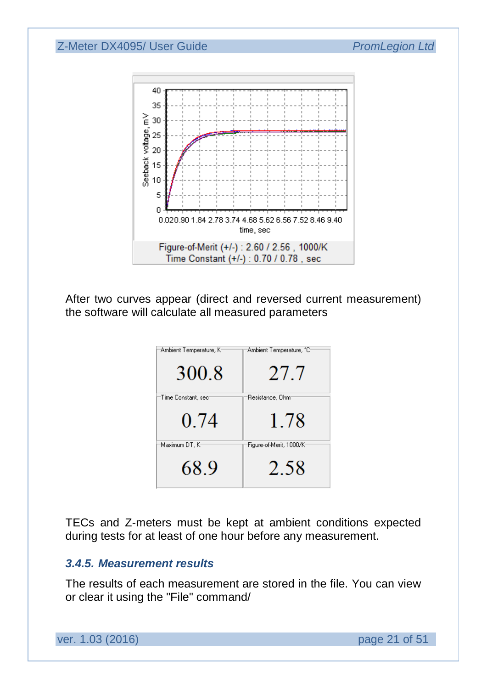

After two curves appear (direct and reversed current measurement) the software will calculate all measured parameters

| Ambient Temperature, K <sup>-</sup> | Ambient Temperature, °C  |
|-------------------------------------|--------------------------|
| 300.8                               | 27.7                     |
| Time Constant, sec:                 | :Resistance, Ohm         |
| 0.74                                | 1.78                     |
| Maximum DT. K-                      | Figure-of-Merit, 1000/K- |
| 68.9                                | 2.58                     |

TECs and Z-meters must be kept at ambient conditions expected during tests for at least of one hour before any measurement.

#### *3.4.5. Measurement results*

The results of each measurement are stored in the file. You can view or clear it using the "File" command/

ver. 1.03 (2016) **page 21 of 51**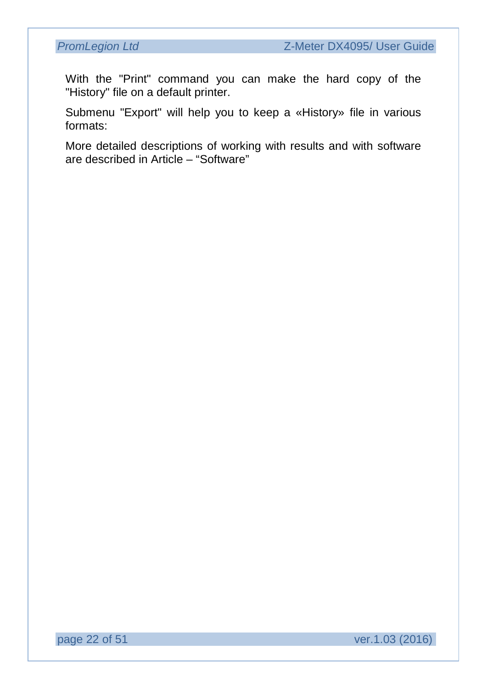With the "Print" command you can make the hard copy of the "History" file on a default printer.

Submenu "Export" will help you to keep a «History» file in various formats:

More detailed descriptions of working with results and with software are described in Article – "Software"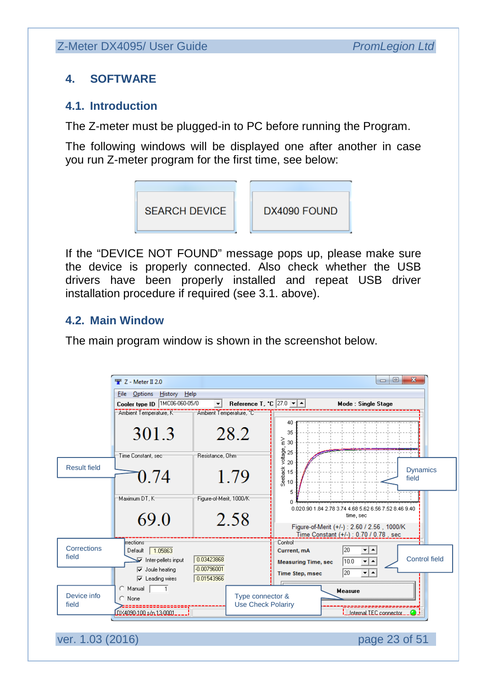#### <span id="page-22-0"></span>**4. SOFTWARE**

#### <span id="page-22-1"></span>**4.1. Introduction**

The Z-meter must be plugged-in to PC before running the Program.

The following windows will be displayed one after another in case you run Z-meter program for the first time, see below:



If the "DEVICE NOT FOUND" message pops up, please make sure the device is properly connected. Also check whether the USB drivers have been properly installed and repeat USB driver installation procedure if required (see 3.1. above).

#### <span id="page-22-2"></span>**4.2. Main Window**

The main program window is shown in the screenshot below.

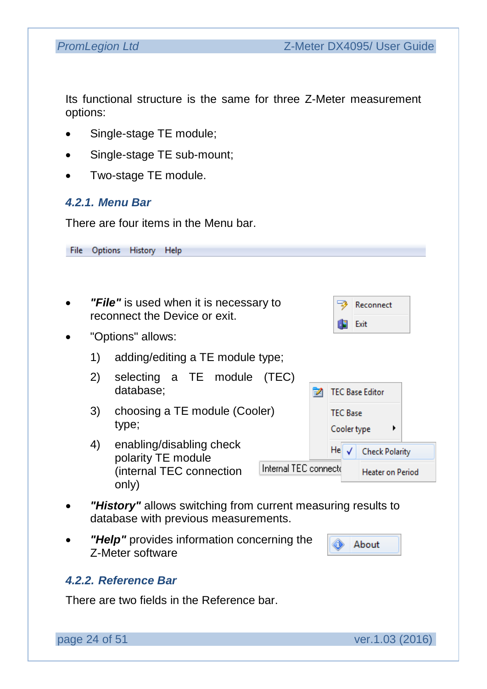Its functional structure is the same for three Z-Meter measurement options:

- Single-stage TE module:
- Single-stage TE sub-mount;
- Two-stage TE module.

#### *4.2.1. Menu Bar*

There are four items in the Menu bar.

File Options History Help

- *"File"* is used when it is necessary to reconnect the Device or exit.
- "Options" allows:
	- 1) adding/editing a TE module type;
	- 2) selecting a TE module (TEC) database;
	- 3) choosing a TE module (Cooler) type;
	- 4) enabling/disabling check polarity TE module (internal TEC connection only)
- Reconnect ☜ Exit **EZA** TEC Base Editor **TEC Base** Cooler type r  $He$   $\checkmark$  Check Polarity Internal TEC connecto Heater on Period
- *"History"* allows switching from current measuring results to database with previous measurements.
- *"Help"* provides information concerning the Z-Meter software



#### *4.2.2. Reference Bar*

There are two fields in the Reference bar.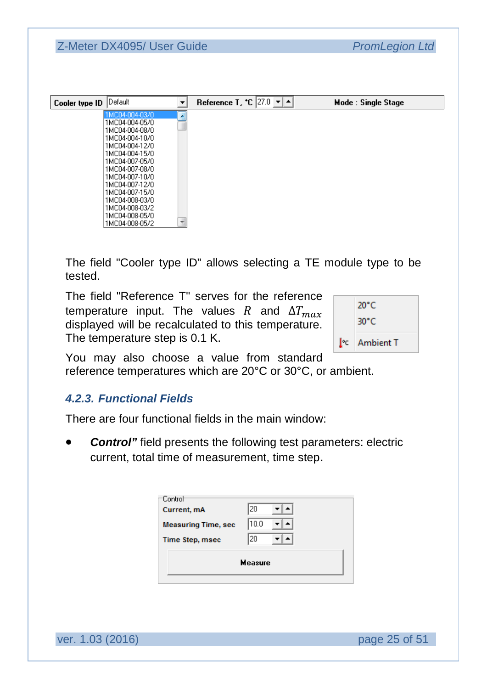| Default<br>Cooler type ID                                                                                                                                                                                                                                                  |        | Reference T, $\mathsf{t}$ 27.0 $\boxed{\mathsf{v}}$ | Mode : Single Stage |
|----------------------------------------------------------------------------------------------------------------------------------------------------------------------------------------------------------------------------------------------------------------------------|--------|-----------------------------------------------------|---------------------|
| 1MC04-004-03/0<br>1MC04-004-05/0<br>1MC04-004-08/0<br>1MC04-004-10/0<br>1MC04-004-12/0<br>1MC04-004-15/0<br>1MC04-007-05/0<br>1MC04-007-08/0<br>1MC04-007-10/0<br>1MC04-007-12/0<br>1MC04-007-15/0<br>1MC04-008-03/0<br>1MC04-008-03/2<br>1MC04-008-05/0<br>1MC04-008-05/2 | ▴<br>٠ |                                                     |                     |

The field "Cooler type ID" allows selecting a TE module type to be tested.

The field "Reference T" serves for the reference temperature input. The values R and  $\Delta T_{max}$ displayed will be recalculated to this temperature. The temperature step is 0.1 K.

| 20°C                     |  |
|--------------------------|--|
| 30°C                     |  |
| l <sup>°</sup> Ambient T |  |

You may also choose a value from standard reference temperatures which are 20°C or 30°C, or ambient.

#### *4.2.3. Functional Fields*

There are four functional fields in the main window:

• *Control"* field presents the following test parameters: electric current, total time of measurement, time step.

| :Control<br>Current, mA                       | 20         |  |  |
|-----------------------------------------------|------------|--|--|
| <b>Measuring Time, sec</b><br>Time Step, msec | 10.0<br>20 |  |  |
| <b>Measure</b>                                |            |  |  |

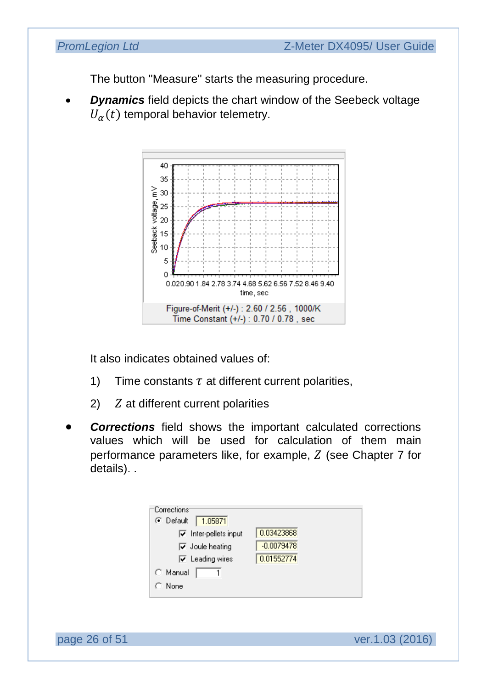The button "Measure" starts the measuring procedure.

• *Dynamics* field depicts the chart window of the Seebeck voltage  $U_{\alpha}(t)$  temporal behavior telemetry.



It also indicates obtained values of:

- 1) Time constants  $\tau$  at different current polarities,
- 2) Z at different current polarities
- *Corrections* field shows the important calculated corrections values which will be used for calculation of them main performance parameters like, for example,  $Z$  (see Chapter  $7$  for details). .

| Corrections:<br>⊕ Default<br>1.05871        |              |
|---------------------------------------------|--------------|
| $\overline{\mathbf{v}}$ Inter-pellets input | 0.03423868   |
| $\overline{\mathbf{v}}$ Joule heating       | $-0.0079478$ |
| $\overline{\mathsf{v}}$ Leading wires       | 0.01552774   |
| C Manual                                    |              |
| None                                        |              |
|                                             |              |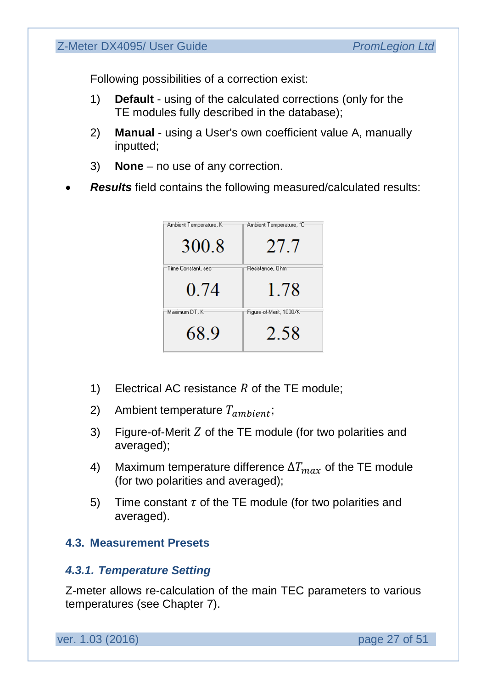Following possibilities of a correction exist:

- 1) **Default** using of the calculated corrections (only for the TE modules fully described in the database);
- 2) **Manual** using a User's own coefficient value A, manually inputted;
- 3) **None** no use of any correction.
- *Results* field contains the following measured/calculated results:



- 1) Electrical AC resistance  $R$  of the TE module:
- 2) Ambient temperature  $T_{ambient}$ ;
- 3) Figure-of-Merit  $Z$  of the TE module (for two polarities and averaged);
- 4) Maximum temperature difference  $\Delta T_{max}$  of the TE module (for two polarities and averaged);
- 5) Time constant  $\tau$  of the TE module (for two polarities and averaged).

#### <span id="page-26-0"></span>**4.3. Measurement Presets**

#### *4.3.1. Temperature Setting*

Z-meter allows re-calculation of the main TEC parameters to various temperatures (see Chapter [7\)](#page-38-0).

ver. 1.03 (2016) **page 27 of 51**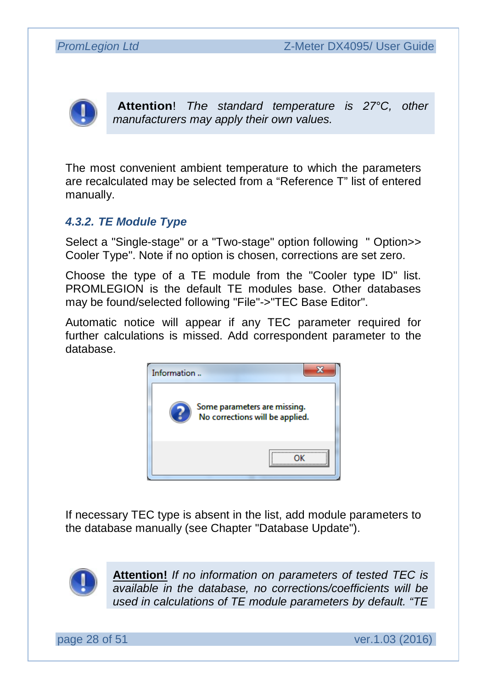

**Attention**! *The standard temperature is 27°C, other manufacturers may apply their own values.*

The most convenient ambient temperature to which the parameters are recalculated may be selected from a "Reference T" list of entered manually.

#### *4.3.2. TE Module Type*

Select a "Single-stage" or a "Two-stage" option following " Option>> Cooler Type". Note if no option is chosen, corrections are set zero.

Choose the type of a TE module from the "Cooler type ID" list. PROMLEGION is the default TE modules base. Other databases may be found/selected following "File"->"TEC Base Editor".

Automatic notice will appear if any TEC parameter required for further calculations is missed. Add correspondent parameter to the database.



If necessary TEC type is absent in the list, add module parameters to the database manually (see Chapter "Database Update").



**Attention!** *If no information on parameters of tested TEC is available in the database, no corrections/coefficients will be used in calculations of TE module parameters by default. "TE* 

page 28 of 51 ver.1.03 (2016)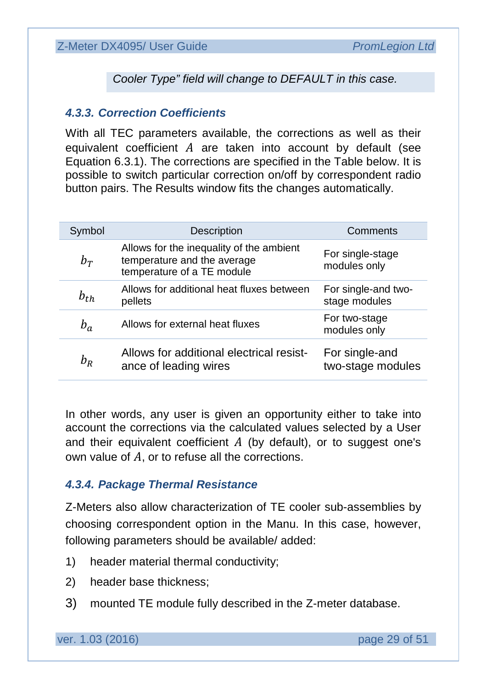*Cooler Type" field will change to DEFAULT in this case.*

#### *4.3.3. Correction Coefficients*

With all TEC parameters available, the corrections as well as their equivalent coefficient  $A$  are taken into account by default (see Equation [6.3.](#page-42-0)1). The corrections are specified in the Table below. It is possible to switch particular correction on/off by correspondent radio button pairs. The Results window fits the changes automatically.

| Symbol   | Description                                                                                           | Comments                             |
|----------|-------------------------------------------------------------------------------------------------------|--------------------------------------|
| $b_T$    | Allows for the inequality of the ambient<br>temperature and the average<br>temperature of a TE module | For single-stage<br>modules only     |
| $b_{th}$ | Allows for additional heat fluxes between<br>pellets                                                  | For single-and two-<br>stage modules |
| $b_a$    | Allows for external heat fluxes                                                                       | For two-stage<br>modules only        |
| $b_R$    | Allows for additional electrical resist-<br>ance of leading wires                                     | For single-and<br>two-stage modules  |

In other words, any user is given an opportunity either to take into account the corrections via the calculated values selected by a User and their equivalent coefficient  $A$  (by default), or to suggest one's own value of  $A$ , or to refuse all the corrections.

#### *4.3.4. Package Thermal Resistance*

Z-Meters also allow characterization of TE cooler sub-assemblies by choosing correspondent option in the Manu. In this case, however, following parameters should be available/ added:

- 1) header material thermal conductivity;
- 2) header base thickness;
- 3) mounted TE module fully described in the Z-meter database.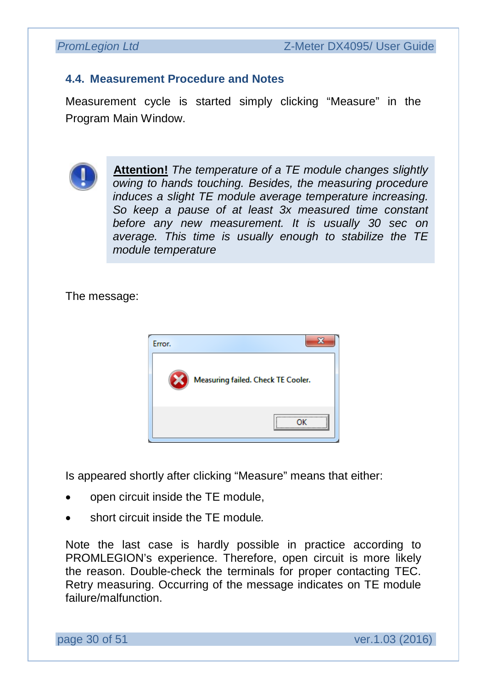#### <span id="page-29-0"></span>**4.4. Measurement Procedure and Notes**

Measurement cycle is started simply clicking "Measure" in the Program Main Window.



**Attention!** *The temperature of a TE module changes slightly owing to hands touching. Besides, the measuring procedure induces a slight TE module average temperature increasing. So keep a pause of at least 3x measured time constant before any new measurement. It is usually 30 sec on average. This time is usually enough to stabilize the TE module temperature*

The message:



Is appeared shortly after clicking "Measure" means that either:

- open circuit inside the TE module,
- short circuit inside the TE module*.*

Note the last case is hardly possible in practice according to PROMLEGION's experience. Therefore, open circuit is more likely the reason. Double-check the terminals for proper contacting TEC. Retry measuring. Occurring of the message indicates on TE module failure/malfunction.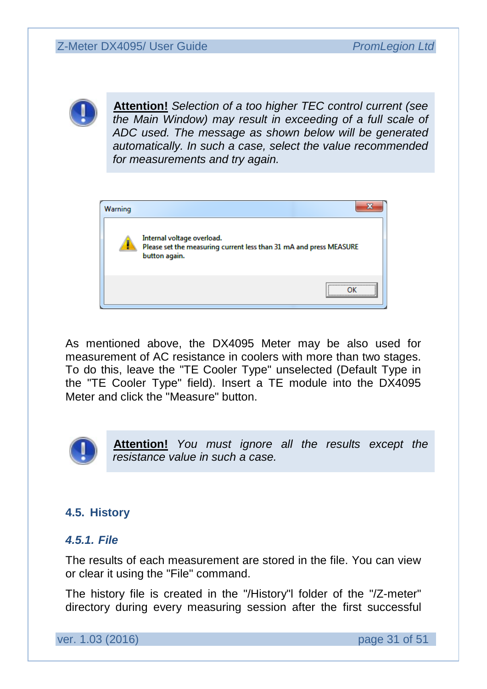

**Attention!** *Selection of a too higher TEC control current (see the Main Window) may result in exceeding of a full scale of ADC used. The message as shown below will be generated automatically. In such a case, select the value recommended for measurements and try again.*



As mentioned above, the DX4095 Meter may be also used for measurement of AC resistance in coolers with more than two stages. To do this, leave the "TE Cooler Type" unselected (Default Type in the "TE Cooler Type" field). Insert a TE module into the DX4095 Meter and click the "Measure" button.



**Attention!** *You must ignore all the results except the resistance value in such a case.*

### <span id="page-30-0"></span>**4.5. History**

#### *4.5.1. File*

The results of each measurement are stored in the file. You can view or clear it using the "File" command.

The history file is created in the "/History"l folder of the "/Z-meter" directory during every measuring session after the first successful

ver. 1.03 (2016) **page 31 of 51**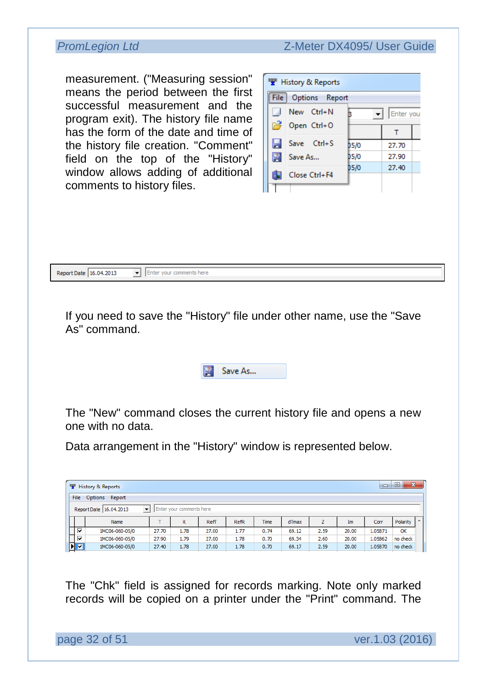measurement. ("Measuring session" means the period between the first successful measurement and the program exit). The history file name has the form of the date and time of the history file creation. "Comment" field on the top of the "History" window allows adding of additional comments to history files.

|             | History & Reports |              |           |  |  |  |  |  |  |
|-------------|-------------------|--------------|-----------|--|--|--|--|--|--|
| <b>File</b> | Options Report    |              |           |  |  |  |  |  |  |
|             | New Ctrl+N        |              | Enter you |  |  |  |  |  |  |
|             | Open Ctrl+O       |              |           |  |  |  |  |  |  |
| ы           | Save Ctrl+S       | D5/0         | 27.70     |  |  |  |  |  |  |
| 12          | Save As           | <b>b</b> 5/0 | 27.90     |  |  |  |  |  |  |
|             | Close Ctrl+F4     | D5/0         | 27.40     |  |  |  |  |  |  |
|             |                   |              |           |  |  |  |  |  |  |



If you need to save the "History" file under other name, use the "Save As" command.

Save As...

The "New" command closes the current history file and opens a new one with no data.

Data arrangement in the "History" window is represented below.

| $\mathbf{x}$<br>$\Box$<br>History & Reports<br>$\Box$                                                    |                                                    |       |                          |       |             |             |       |      |       |         |          |                |
|----------------------------------------------------------------------------------------------------------|----------------------------------------------------|-------|--------------------------|-------|-------------|-------------|-------|------|-------|---------|----------|----------------|
| <b>File</b><br><b>Options</b><br>Report                                                                  |                                                    |       |                          |       |             |             |       |      |       |         |          |                |
|                                                                                                          | $\overline{\phantom{a}}$<br>Report Date 16.04.2013 |       | Enter your comments here |       |             |             |       |      |       |         |          |                |
|                                                                                                          | Name                                               |       | R                        | RefT  | <b>RefR</b> | <b>Time</b> | dTmax | z    | Im    | Corr    | Polarity | $\overline{a}$ |
| ⊽<br>1MC06-060-05/0<br>OK<br>1.78<br>1.77<br>2.59<br>27.70<br>27.00<br>0.74<br>20.00<br>1.05871<br>69.12 |                                                    |       |                          |       |             |             |       |      |       |         |          |                |
| $\overline{\phantom{1}}$                                                                                 | 1MC06-060-05/0                                     | 27.90 | 1.79                     | 27.00 | 1.78        | 0.70        | 69.34 | 2.60 | 20.00 | 1.05862 | no check |                |
| EE                                                                                                       | 1MC06-060-05/0                                     | 27.40 | 1.78                     | 27.00 | 1.78        | 0.70        | 69.17 | 2.59 | 20.00 | 1.05870 | no check |                |

The "Chk" field is assigned for records marking. Note only marked records will be copied on a printer under the "Print" command. The

page 32 of 51 ver.1.03 (2016)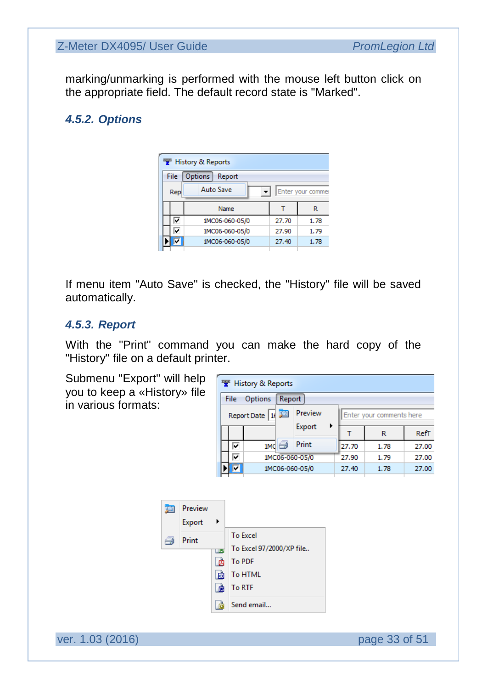marking/unmarking is performed with the mouse left button click on the appropriate field. The default record state is "Marked".

#### *4.5.2. Options*

| 管 History & Reports       |                  |       |                   |  |  |  |  |  |
|---------------------------|------------------|-------|-------------------|--|--|--|--|--|
| Options<br>File<br>Report |                  |       |                   |  |  |  |  |  |
| Rep                       | <b>Auto Save</b> |       | Enter your commer |  |  |  |  |  |
|                           | Name             |       | R                 |  |  |  |  |  |
| ⊽                         | 1MC06-060-05/0   | 27.70 | 1.78              |  |  |  |  |  |
| ⊽                         | 1MC06-060-05/0   | 27.90 | 1.79              |  |  |  |  |  |
|                           | 1MC06-060-05/0   | 27.40 | 1.78              |  |  |  |  |  |

If menu item "Auto Save" is checked, the "History" file will be saved automatically.

#### *4.5.3. Report*

With the "Print" command you can make the hard copy of the "History" file on a default printer.

Submenu "Export" will help you to keep a «History» file in various formats:

| ▼ History & Reports |                |       |                          |       |  |  |  |  |
|---------------------|----------------|-------|--------------------------|-------|--|--|--|--|
| Options<br>File     | Report         |       |                          |       |  |  |  |  |
| Report Date 16      | Preview        |       | Enter your comments here |       |  |  |  |  |
|                     | ٠<br>Export    |       | R                        | RefT  |  |  |  |  |
| $1M \oplus$<br>⊽    | Print          | 27.70 | 1.78                     | 27.00 |  |  |  |  |
| ✓                   | 1MC06-060-05/0 | 27.90 | 1.79                     | 27.00 |  |  |  |  |
|                     | 1MC06-060-05/0 | 27.40 | 1.78                     | 27.00 |  |  |  |  |

| Preview |                       |                          |
|---------|-----------------------|--------------------------|
| Export  | $\blacktriangleright$ |                          |
| Print   |                       | <b>To Excel</b>          |
|         |                       | To Excel 97/2000/XP file |
|         | 國                     | To PDF                   |
|         | ∣ख़                   | <b>To HTML</b>           |
|         | । ਸ਼ੌ                 | <b>To RTF</b>            |
|         |                       | Send email               |

ver. 1.03 (2016) **page 33 of 51**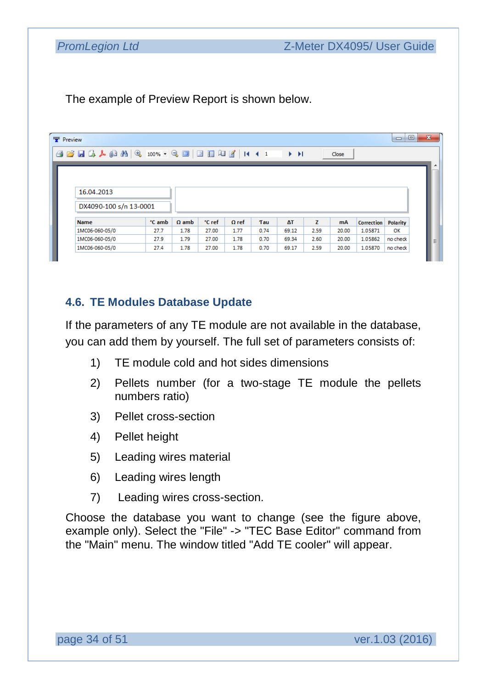The example of Preview Report is shown below.

| <b>F</b> Preview                               |                    |              |        |              |      |            |                |           |                   | $\Box$<br>$=$ |
|------------------------------------------------|--------------------|--------------|--------|--------------|------|------------|----------------|-----------|-------------------|---------------|
| 台房日最人直出 Q 100% · Q □ □ □ □ □ 1 / 1 / 1 / 1 / 1 |                    |              |        |              |      |            |                | Close     |                   |               |
|                                                |                    |              |        |              |      |            |                |           |                   |               |
|                                                |                    |              |        |              |      |            |                |           |                   |               |
|                                                |                    |              |        |              |      |            |                |           |                   |               |
| 16.04.2013                                     |                    |              |        |              |      |            |                |           |                   |               |
| DX4090-100 s/n 13-0001                         |                    |              |        |              |      |            |                |           |                   |               |
| <b>Name</b>                                    | <sup>*</sup> C amb | $\Omega$ amb | *C ref | $\Omega$ ref | Tau  | $\Delta T$ | $\overline{z}$ | <b>mA</b> | <b>Correction</b> | Polarity      |
| 1MC06-060-05/0                                 | 27.7               | 1.78         | 27.00  | 1.77         | 0.74 | 69.12      | 2.59           | 20.00     | 1.05871           | OK            |
| 1MC06-060-05/0                                 | 27.9               | 1.79         | 27.00  | 1.78         | 0.70 | 69.34      | 2.60           | 20.00     | 1.05862           | no check      |

#### <span id="page-33-0"></span>**4.6. TE Modules Database Update**

If the parameters of any TE module are not available in the database, you can add them by yourself. The full set of parameters consists of:

- 1) TE module cold and hot sides dimensions
- 2) Pellets number (for a two-stage TE module the pellets numbers ratio)
- 3) Pellet cross-section
- 4) Pellet height
- 5) Leading wires material
- 6) Leading wires length
- 7) Leading wires cross-section.

Choose the database you want to change (see the figure above, example only). Select the "File" -> "TEC Base Editor" command from the "Main" menu. The window titled "Add TE cooler" will appear.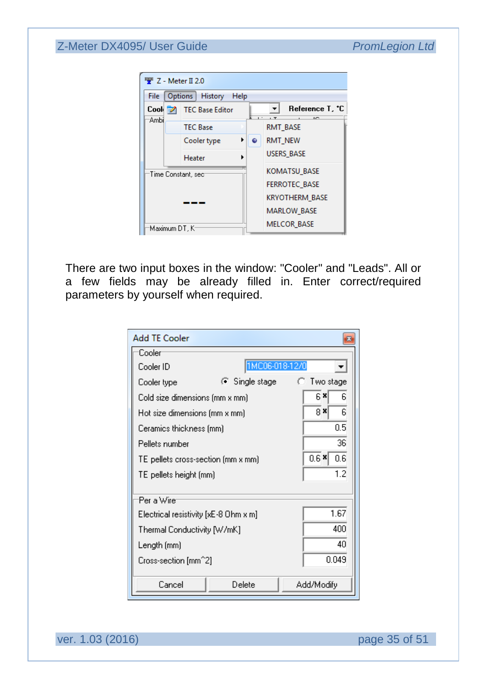

There are two input boxes in the window: "Cooler" and "Leads". All or a few fields may be already filled in. Enter correct/required parameters by yourself when required.

| <b>Add TE Cooler</b>                  |                      | ×                    |
|---------------------------------------|----------------------|----------------------|
| Cooler                                |                      |                      |
| Cooler ID                             | 1MC06-018-12/0       |                      |
| Cooler type                           | $\odot$ Single stage | ○ Two stage          |
| Cold size dimensions (mm x mm)        |                      | 6 X<br>ĥ             |
| Hot size dimensions (mm x mm)         |                      | 8×<br>6              |
| Ceramics thickness [mm]               |                      | 0.5                  |
| Pellets number                        |                      | 36                   |
| TE pellets cross-section (mm x mm)    |                      | $0.6$ $\star$<br>0.6 |
| TE pellets height (mm)                |                      | 1.2                  |
| Per a Wire                            |                      |                      |
|                                       |                      | 1.67                 |
| Electrical resistivity [xE-8 Ohm x m] |                      |                      |
| Thermal Conductivity [W/mK]           |                      | 400                  |
| Length (mm)                           | 40                   |                      |
| Cross-section [mm^2]                  |                      | 0.049                |
| Cancel                                | Delete               | Add/Modify           |

ver. 1.03 (2016) **page 35 of 51**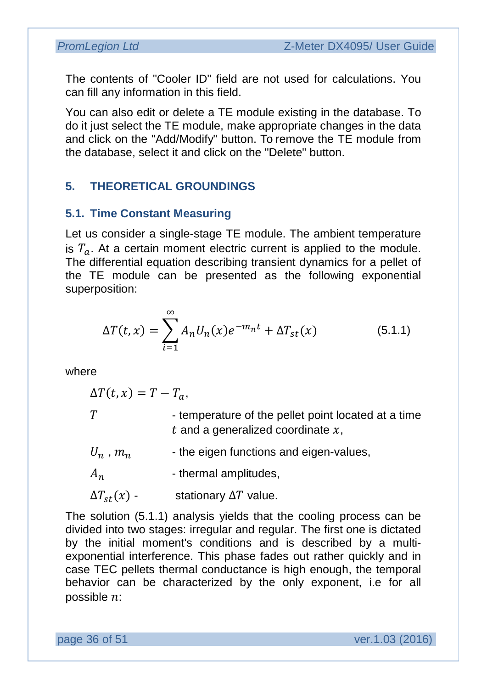The contents of "Cooler ID" field are not used for calculations. You can fill any information in this field.

You can also edit or delete a TE module existing in the database. To do it just select the TE module, make appropriate changes in the data and click on the "Add/Modify" button. To remove the TE module from the database, select it and click on the "Delete" button.

#### <span id="page-35-0"></span>**5. THEORETICAL GROUNDINGS**

#### <span id="page-35-1"></span>**5.1. Time Constant Measuring**

Let us consider a single-stage TE module. The ambient temperature is  $T_a$ . At a certain moment electric current is applied to the module. The differential equation describing transient dynamics for a pellet of the TE module can be presented as the following exponential superposition:

$$
\Delta T(t, x) = \sum_{i=1}^{\infty} A_n U_n(x) e^{-m_n t} + \Delta T_{st}(x)
$$
 (5.1.1)

where

 $\Delta T(t, x) = T - T_a,$ 

| Т | - temperature of the pellet point located at a time |
|---|-----------------------------------------------------|
|   | $t$ and a generalized coordinate $x$ ,              |

 $U_n$ ,  $m_n$  - the eigen functions and eigen-values,

 $A_n$  - thermal amplitudes.

 $\Delta T_{\rm st}(x)$  - stationary  $\Delta T$  value.

The solution [\(5.1.](#page-35-1)1) analysis yields that the cooling process can be divided into two stages: irregular and regular. The first one is dictated by the initial moment's conditions and is described by a multiexponential interference. This phase fades out rather quickly and in case TEC pellets thermal conductance is high enough, the temporal behavior can be characterized by the only exponent, i.e for all possible  $n$ :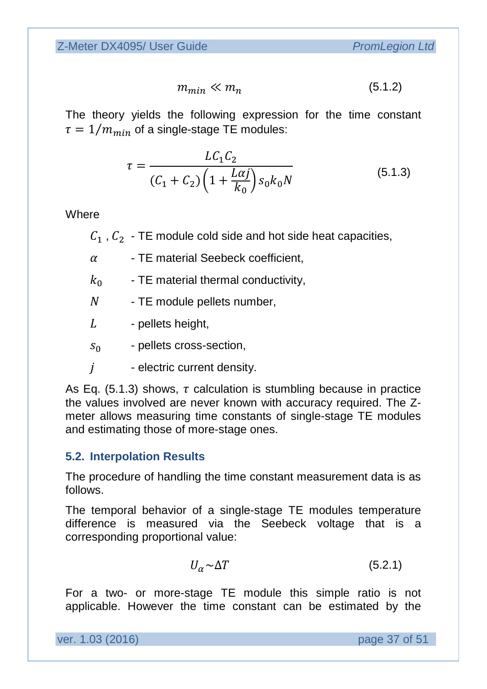$$
m_{min} \ll m_n \tag{5.1.2}
$$

The theory yields the following expression for the time constant  $\tau = 1/m_{min}$  of a single-stage TE modules:

$$
\tau = \frac{LC_1C_2}{(C_1 + C_2)\left(1 + \frac{L\alpha j}{k_0}\right)s_0k_0N}
$$
(5.1.3)

Where

 $C_1$ ,  $C_2$  - TE module cold side and hot side heat capacities,

 $\alpha$ - TE material Seebeck coefficient,

 $k_0$  - TE material thermal conductivity,

 $N \longrightarrow$  TE module pellets number,

 $L \rightarrow$  pellets height,

 $s_0$  - pellets cross-section,

 $\mathbf{i}$ - electric current density.

As Eq. [\(5.1.](#page-35-1)3) shows,  $\tau$  calculation is stumbling because in practice the values involved are never known with accuracy required. The Zmeter allows measuring time constants of single-stage TE modules and estimating those of more-stage ones.

#### <span id="page-36-0"></span>**5.2. Interpolation Results**

The procedure of handling the time constant measurement data is as follows.

The temporal behavior of a single-stage TE modules temperature difference is measured via the Seebeck voltage that is a corresponding proportional value:

$$
U_{\alpha} \sim \Delta T \tag{5.2.1}
$$

For a two- or more-stage TE module this simple ratio is not applicable. However the time constant can be estimated by the

ver. 1.03 (2016) page 37 of 51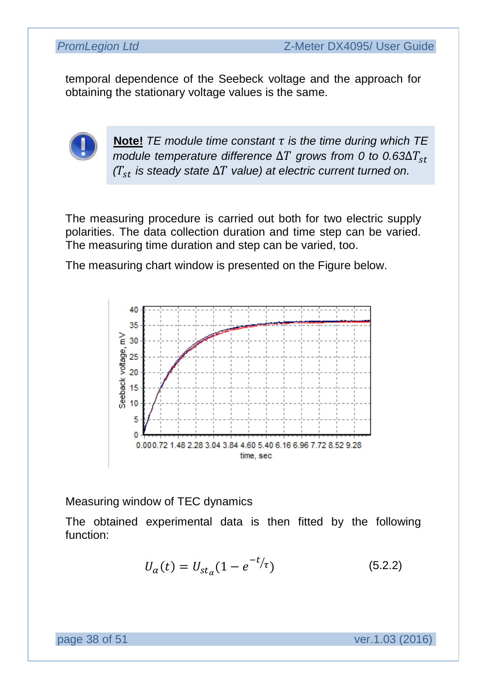temporal dependence of the Seebeck voltage and the approach for obtaining the stationary voltage values is the same.



**Note!** *TE module time constant is the time during which TE module temperature difference*  $\Delta T$  *grows from 0 to 0.63* $\Delta T$ <sub>st</sub>  $(T<sub>st</sub>$  *is steady state*  $\Delta T$  *value) at electric current turned on.* 

The measuring procedure is carried out both for two electric supply polarities. The data collection duration and time step can be varied. The measuring time duration and step can be varied, too.

The measuring chart window is presented on the Figure below.



Measuring window of TEC dynamics

The obtained experimental data is then fitted by the following function:

$$
U_{\alpha}(t) = U_{st_{\alpha}}(1 - e^{-t/\tau})
$$
\n(5.2.2)

page 38 of 51 ver.1.03 (2016)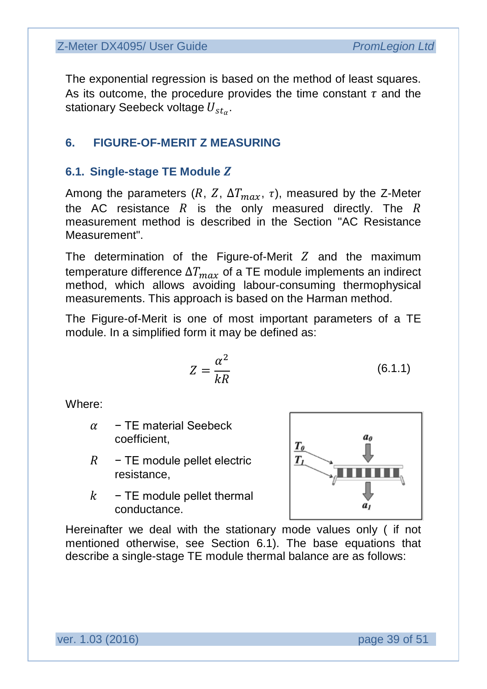The exponential regression is based on the method of least squares. As its outcome, the procedure provides the time constant  $\tau$  and the stationary Seebeck voltage  $U_{st}$ .

#### <span id="page-38-0"></span>**6. FIGURE-OF-MERIT Z MEASURING**

#### <span id="page-38-1"></span>**6.1. Single-stage TE Module**

Among the parameters (R, Z,  $\Delta T_{max}$ ,  $\tau$ ), measured by the Z-Meter the AC resistance  $R$  is the only measured directly. The  $R$ measurement method is described in the Section "AC Resistance Measurement".

The determination of the Figure-of-Merit  $Z$  and the maximum temperature difference  $\Delta T_{max}$  of a TE module implements an indirect method, which allows avoiding labour-consuming thermophysical measurements. This approach is based on the Harman method.

The Figure-of-Merit is one of most important parameters of a TE module. In a simplified form it may be defined as:

$$
Z = \frac{\alpha^2}{kR} \tag{6.1.1}
$$

Where:

- − TE material Seebeck  $\alpha$ coefficient,
- $R TE$  module pellet electric resistance,
- $k$  TE module pellet thermal conductance.



Hereinafter we deal with the stationary mode values only ( if not mentioned otherwise, see Section [6.1\)](#page-35-1). The base equations that describe a single-stage TE module thermal balance are as follows: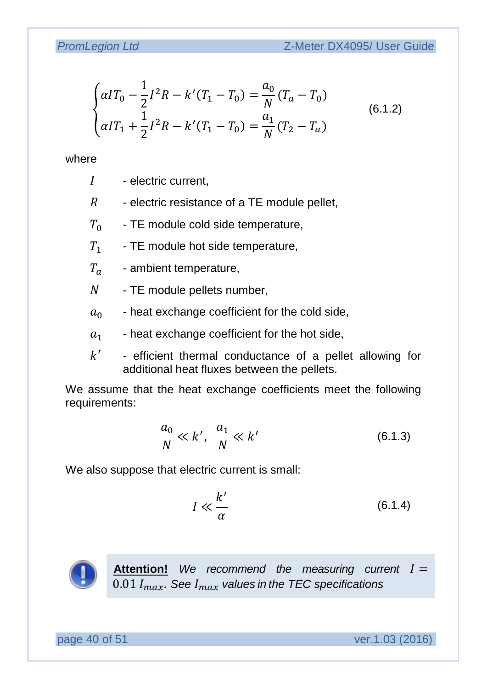$$
\begin{cases}\n\alpha IT_0 - \frac{1}{2}I^2 R - k'(T_1 - T_0) = \frac{a_0}{N}(T_a - T_0) \\
\alpha IT_1 + \frac{1}{2}I^2 R - k'(T_1 - T_0) = \frac{a_1}{N}(T_2 - T_a)\n\end{cases}
$$
\n(6.1.2)

where

- $I -$  electric current.
- $R$  electric resistance of a TE module pellet,
- $T_0$  TE module cold side temperature,
- $T_1$  TE module hot side temperature,
- $T_a$  ambient temperature,
- $N$  TE module pellets number,
- $a_0$  heat exchange coefficient for the cold side,
- $a_1$  heat exchange coefficient for the hot side,

 $k'$  - efficient thermal conductance of a pellet allowing for additional heat fluxes between the pellets.

We assume that the heat exchange coefficients meet the following requirements:

$$
\frac{a_0}{N} \ll k', \quad \frac{a_1}{N} \ll k' \tag{6.1.3}
$$

We also suppose that electric current is small:

$$
I \ll \frac{k'}{\alpha} \tag{6.1.4}
$$



**Attention!** We recommend the measuring current  $I =$ 0.01  $I_{max}$ . See  $I_{max}$  values in the TEC specifications

page 40 of 51 ver.1.03 (2016)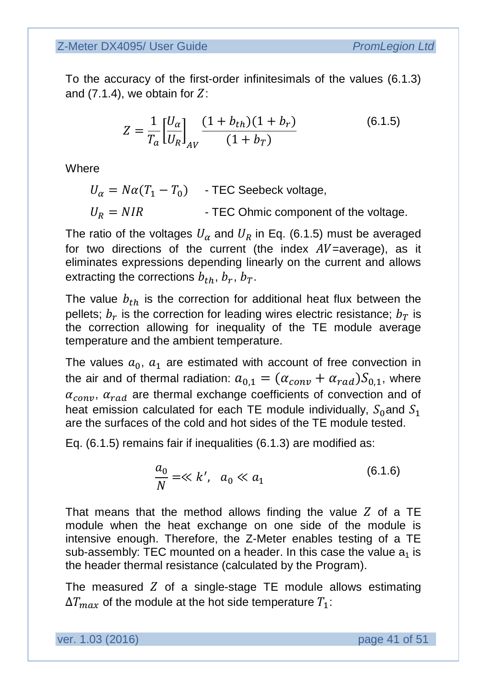To the accuracy of the first-order infinitesimals of the values [\(6.1.](#page-38-1)3) and  $(7.1.4)$  $(7.1.4)$ , we obtain for  $Z$ :

$$
Z = \frac{1}{T_a} \left[ \frac{U_a}{U_R} \right]_{AV} \frac{(1 + b_{th})(1 + b_r)}{(1 + b_T)} \tag{6.1.5}
$$

**Where** 

 $U_{\alpha} = N \alpha (T_1 - T_0)$  - TEC Seebeck voltage,  $U_p = NIR$  - TEC Ohmic component of the voltage.

The ratio of the voltages  $U_{\alpha}$  and  $U_{R}$  in Eq. [\(6.1.](#page-38-1)5) must be averaged for two directions of the current (the index  $AV$ =average), as it eliminates expressions depending linearly on the current and allows extracting the corrections  $b_{th}$ ,  $b_{r}$ ,  $b_{r}$ .

The value  $b_{th}$  is the correction for additional heat flux between the pellets;  $b_r$  is the correction for leading wires electric resistance;  $b_r$  is the correction allowing for inequality of the TE module average temperature and the ambient temperature.

The values  $a_0$ ,  $a_1$  are estimated with account of free convection in the air and of thermal radiation:  $a_{0,1} = (\alpha_{conv} + \alpha_{rad})S_{0,1}$ , where  $\alpha_{conv}$ ,  $\alpha_{rad}$  are thermal exchange coefficients of convection and of heat emission calculated for each TE module individually,  $S_0$  and  $S_1$ are the surfaces of the cold and hot sides of the TE module tested.

Eq. [\(6.1.](#page-38-1)5) remains fair if inequalities [\(6.1.](#page-38-1)3) are modified as:

$$
\frac{a_0}{N} = \ll k', \quad a_0 \ll a_1 \tag{6.1.6}
$$

That means that the method allows finding the value  $Z$  of a TE module when the heat exchange on one side of the module is intensive enough. Therefore, the Z-Meter enables testing of a TE sub-assembly: TEC mounted on a header. In this case the value  $a_1$  is the header thermal resistance (calculated by the Program).

The measured  $Z$  of a single-stage TE module allows estimating  $\Delta T_{max}$  of the module at the hot side temperature  $T_1$ :

ver. 1.03 (2016) page 41 of 51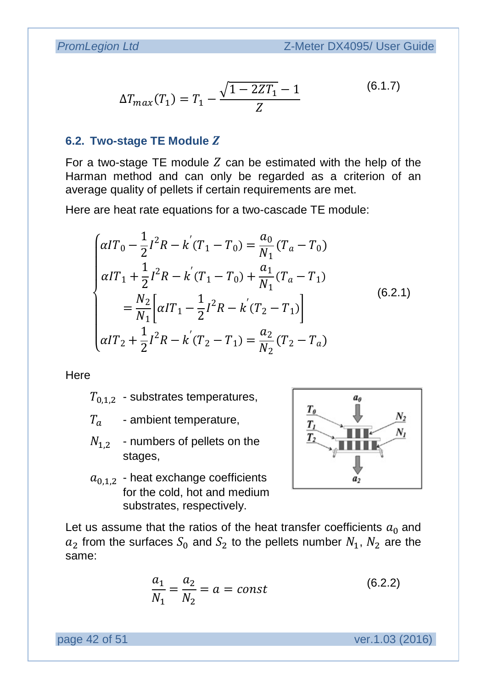$$
\Delta T_{max}(T_1) = T_1 - \frac{\sqrt{1 - 2ZT_1} - 1}{Z} \tag{6.1.7}
$$

#### <span id="page-41-0"></span>**6.2. Two-stage TE Module**

For a two-stage TE module  $Z$  can be estimated with the help of the Harman method and can only be regarded as a criterion of an average quality of pellets if certain requirements are met.

Here are heat rate equations for a two-cascade TE module:

$$
\begin{cases}\n\alpha IT_0 - \frac{1}{2}I^2R - k'(T_1 - T_0) = \frac{a_0}{N_1}(T_a - T_0) \\
\alpha IT_1 + \frac{1}{2}I^2R - k'(T_1 - T_0) + \frac{a_1}{N_1}(T_a - T_1) \\
= \frac{N_2}{N_1} \left[ \alpha IT_1 - \frac{1}{2}I^2R - k'(T_2 - T_1) \right] \\
\alpha IT_2 + \frac{1}{2}I^2R - k'(T_2 - T_1) = \frac{a_2}{N_2}(T_2 - T_a)\n\end{cases}
$$
\n(6.2.1)

**Here** 

 $T_{0,1,2}$  - substrates temperatures,

- $T_a$  ambient temperature,
- $N_{1,2}$  numbers of pellets on the stages,
- $a_{0,1,2}$  heat exchange coefficients for the cold, hot and medium substrates, respectively.



Let us assume that the ratios of the heat transfer coefficients  $a_0$  and  $a_2$  from the surfaces  $S_0$  and  $S_2$  to the pellets number  $N_1$ ,  $N_2$  are the same:

$$
\frac{a_1}{N_1} = \frac{a_2}{N_2} = a = const
$$
\n(6.2.2)

page 42 of 51 ver.1.03 (2016)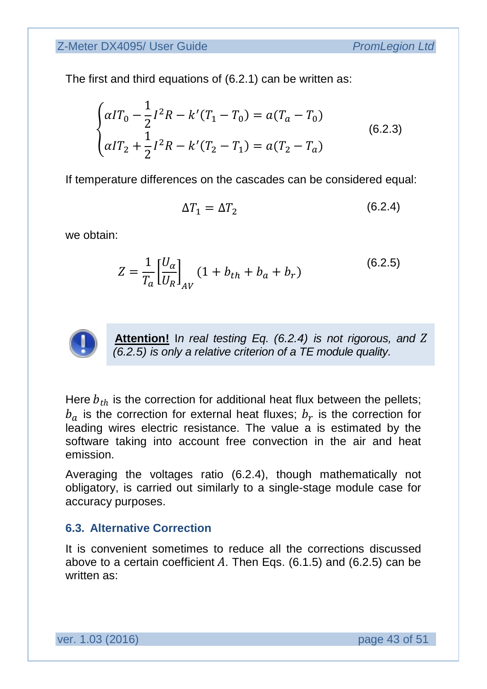The first and third equations of [\(6.2.](#page-41-0)1) can be written as:

$$
\begin{cases}\n\alpha IT_0 - \frac{1}{2}I^2R - k'(T_1 - T_0) = a(T_a - T_0) \\
\alpha IT_2 + \frac{1}{2}I^2R - k'(T_2 - T_1) = a(T_2 - T_a)\n\end{cases}
$$
\n(6.2.3)

If temperature differences on the cascades can be considered equal:

$$
\Delta T_1 = \Delta T_2 \tag{6.2.4}
$$

we obtain:

$$
Z = \frac{1}{T_a} \left[ \frac{U_a}{U_R} \right]_{AV} (1 + b_{th} + b_a + b_r)
$$
 (6.2.5)



**Attention!** I*n real testing Eq. [\(6.2.](#page-41-0)4) is not rigorous, and [\(6.2.](#page-41-0)5) is only a relative criterion of a TE module quality.*

Here  $b_{th}$  is the correction for additional heat flux between the pellets;  $b<sub>a</sub>$  is the correction for external heat fluxes;  $b<sub>r</sub>$  is the correction for leading wires electric resistance. The value a is estimated by the software taking into account free convection in the air and heat emission.

Averaging the voltages ratio [\(6.2.](#page-41-0)4), though mathematically not obligatory, is carried out similarly to a single-stage module case for accuracy purposes.

### <span id="page-42-0"></span>**6.3. Alternative Correction**

It is convenient sometimes to reduce all the corrections discussed above to a certain coefficient A. Then Eqs.  $(6.1.5)$  $(6.1.5)$  and  $(6.2.5)$  $(6.2.5)$  can be written as: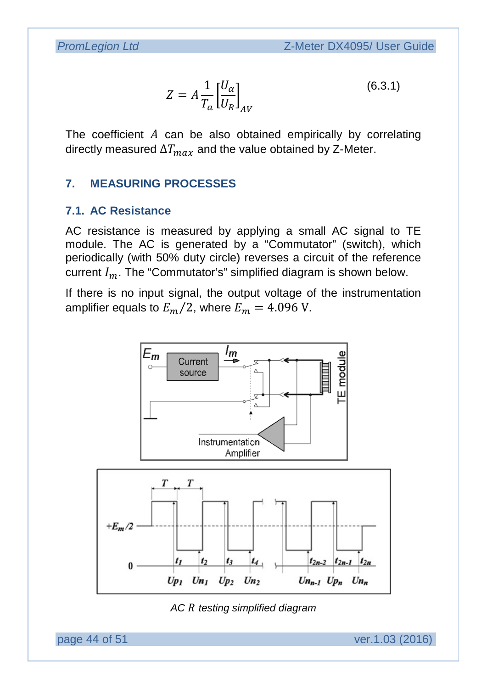$$
Z = A \frac{1}{T_a} \left[ \frac{U_\alpha}{U_R} \right]_{AV} \tag{6.3.1}
$$

The coefficient  $A$  can be also obtained empirically by correlating directly measured  $\Delta T_{max}$  and the value obtained by Z-Meter.

#### <span id="page-43-0"></span>**7. MEASURING PROCESSES**

#### <span id="page-43-1"></span>**7.1. AC Resistance**

AC resistance is measured by applying a small AC signal to TE module. The AC is generated by a "Commutator" (switch), which periodically (with 50% duty circle) reverses a circuit of the reference current  $I_m$ . The "Commutator's" simplified diagram is shown below.

If there is no input signal, the output voltage of the instrumentation amplifier equals to  $E_m/2$ , where  $E_m = 4.096$  V.





page 44 of 51 ver.1.03 (2016)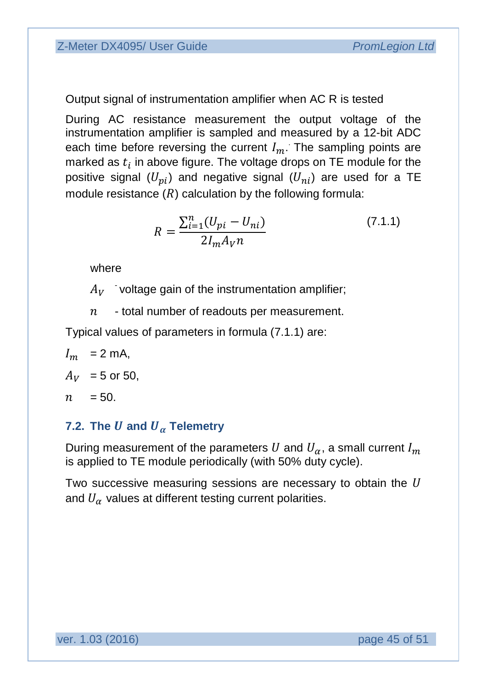Output signal of instrumentation amplifier when AC R is tested

During AC resistance measurement the output voltage of the instrumentation amplifier is sampled and measured by a 12-bit ADC each time before reversing the current  $I_m$ . The sampling points are marked as  $t_i$  in above figure. The voltage drops on TE module for the positive signal  $(U_{\nu i})$  and negative signal  $(U_{\nu i})$  are used for a TE module resistance  $(R)$  calculation by the following formula:

$$
R = \frac{\sum_{i=1}^{n} (U_{pi} - U_{ni})}{2I_m A_V n}
$$
 (7.1.1)

where

 $A_V$  voltage gain of the instrumentation amplifier;

 $n-$  total number of readouts per measurement.

Typical values of parameters in formula [\(7.1.](#page-43-1)1) are:

$$
I_m = 2 \text{ mA},
$$

 $A_V = 5$  or 50.

 $n = 50$ 

### <span id="page-44-0"></span>**7.2.** The  $U$  and  $U_\alpha$  Telemetry

During measurement of the parameters U and  $U_{\alpha}$ , a small current  $I_{m}$ is applied to TE module periodically (with 50% duty cycle).

Two successive measuring sessions are necessary to obtain the  $U$ and  $U_{\alpha}$  values at different testing current polarities.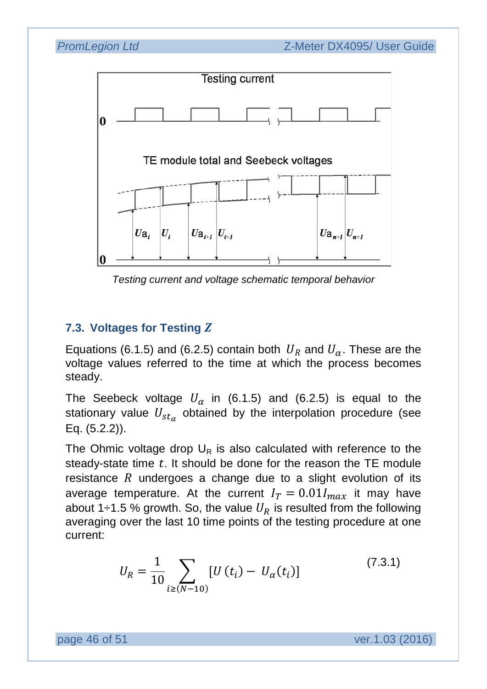

*Testing current and voltage schematic temporal behavior*

#### <span id="page-45-0"></span>**7.3. Voltages for Testing**

Equations [\(6.1.](#page-38-1)5) and [\(6.2.](#page-41-0)5) contain both  $U_R$  and  $U_\alpha$ . These are the voltage values referred to the time at which the process becomes steady.

The Seebeck voltage  $U_{\alpha}$  in [\(6.1.](#page-38-1)5) and [\(6.2.](#page-41-0)5) is equal to the stationary value  $U_{st}$  obtained by the interpolation procedure (see Eq. [\(5.2.](#page-36-0)2)).

The Ohmic voltage drop  $U_R$  is also calculated with reference to the steady-state time  $t$ . It should be done for the reason the TE module resistance  *undergoes a change due to a slight evolution of its* average temperature. At the current  $I<sub>T</sub> = 0.01 I<sub>max</sub>$  it may have about 1÷1.5 % growth. So, the value  $U_R$  is resulted from the following averaging over the last 10 time points of the testing procedure at one current:

$$
U_R = \frac{1}{10} \sum_{i \ge (N-10)} [U(t_i) - U_\alpha(t_i)] \tag{7.3.1}
$$

page 46 of 51 ver.1.03 (2016)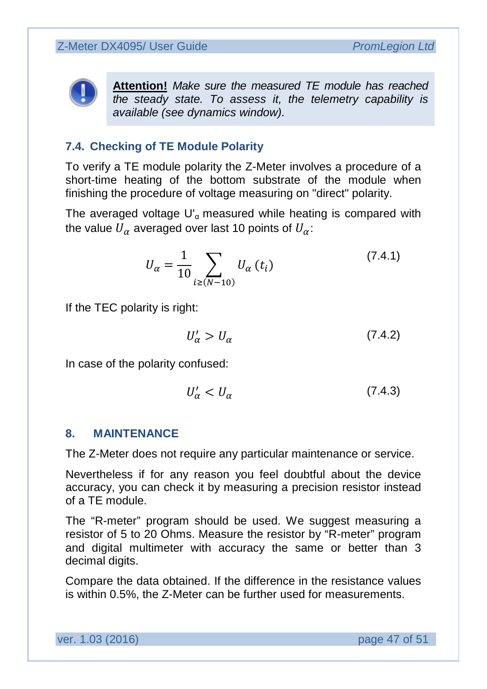

**Attention!** *Make sure the measured TE module has reached the steady state. To assess it, the telemetry capability is available (see dynamics window).*

#### <span id="page-46-0"></span>**7.4. Checking of TE Module Polarity**

To verify a TE module polarity the Z-Meter involves a procedure of a short-time heating of the bottom substrate of the module when finishing the procedure of voltage measuring on "direct" polarity.

The averaged voltage  $U_{\alpha}$  measured while heating is compared with the value  $U_{\alpha}$  averaged over last 10 points of  $U_{\alpha}$ :

$$
U_{\alpha} = \frac{1}{10} \sum_{i \ge (N-10)} U_{\alpha} (t_i)
$$
 (7.4.1)

If the TEC polarity is right:

$$
U'_{\alpha} > U_{\alpha} \tag{7.4.2}
$$

In case of the polarity confused:

$$
U'_{\alpha} < U_{\alpha} \tag{7.4.3}
$$

#### <span id="page-46-1"></span>**8. MAINTENANCE**

The Z-Meter does not require any particular maintenance or service.

Nevertheless if for any reason you feel doubtful about the device accuracy, you can check it by measuring a precision resistor instead of a TE module.

The "R-meter" program should be used. We suggest measuring a resistor of 5 to 20 Ohms. Measure the resistor by "R-meter" program and digital multimeter with accuracy the same or better than 3 decimal digits.

Compare the data obtained. If the difference in the resistance values is within 0.5%, the Z-Meter can be further used for measurements.

ver. 1.03 (2016) page 47 of 51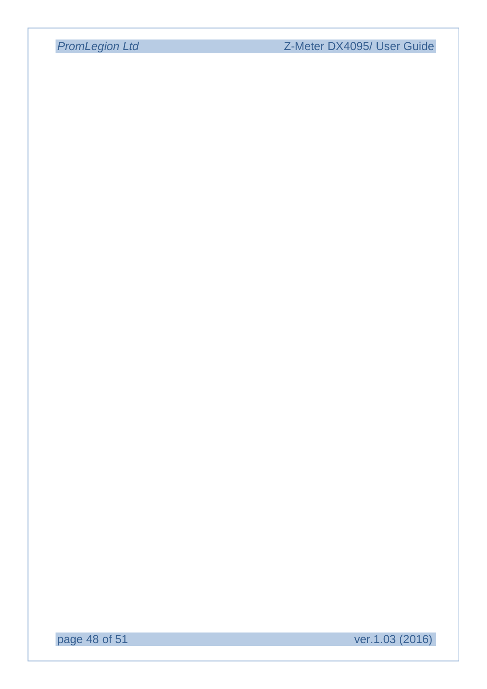page 48 of 51 ver.1.03 (2016)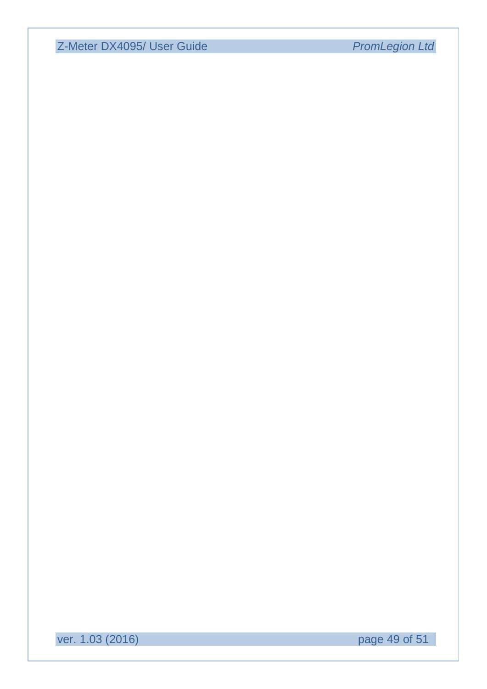ver. 1.03 (2016) **page 49 of 51**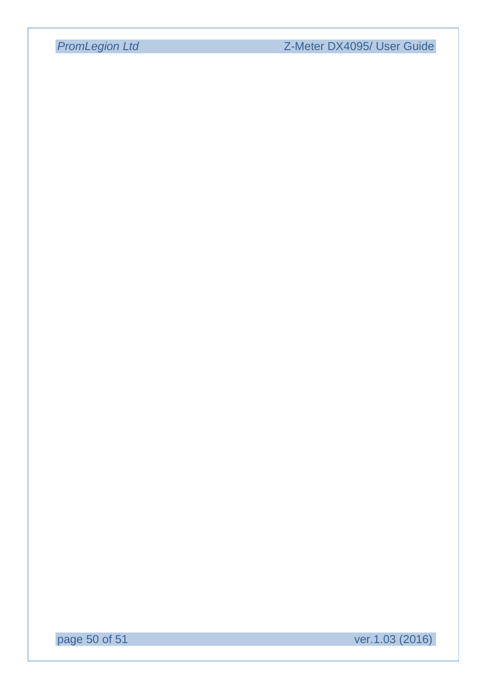page 50 of 51 ver.1.03 (2016)